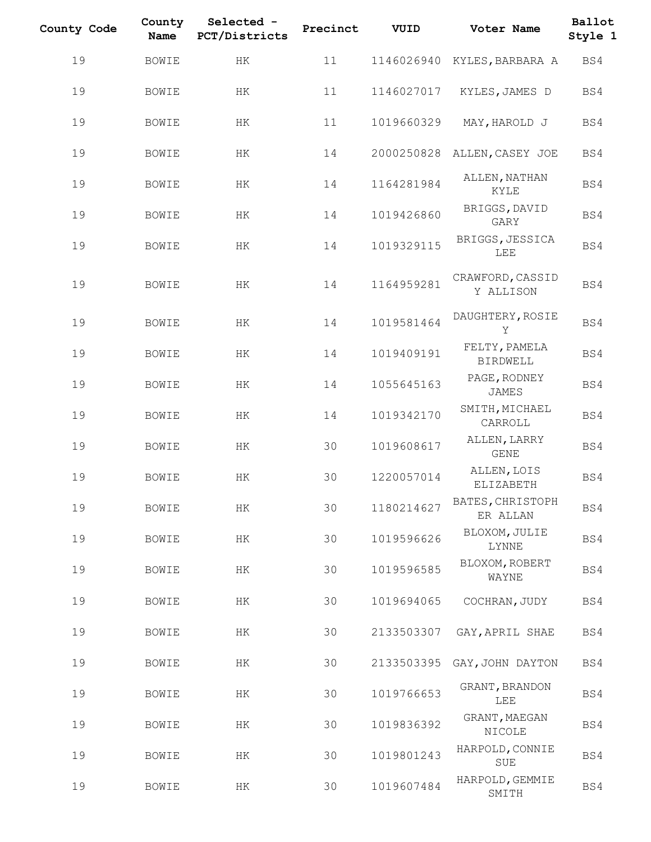| County Code | County<br>Name | Selected -<br>PCT/Districts | Precinct | VUID       | Voter Name                       | Ballot<br>Style 1 |
|-------------|----------------|-----------------------------|----------|------------|----------------------------------|-------------------|
| 19          | <b>BOWIE</b>   | HK                          | 11       |            | 1146026940 KYLES, BARBARA A      | BS4               |
| 19          | BOWIE          | HК                          | 11       | 1146027017 | KYLES, JAMES D                   | BS4               |
| 19          | <b>BOWIE</b>   | ΗK                          | 11       | 1019660329 | MAY, HAROLD J                    | BS4               |
| 19          | <b>BOWIE</b>   | $\rm{HK}$                   | 14       | 2000250828 | ALLEN, CASEY JOE                 | BS4               |
| 19          | <b>BOWIE</b>   | HК                          | 14       | 1164281984 | ALLEN, NATHAN<br>KYLE            | BS4               |
| 19          | <b>BOWIE</b>   | ΗK                          | 14       | 1019426860 | BRIGGS, DAVID<br>GARY            | BS4               |
| 19          | <b>BOWIE</b>   | ΗK                          | 14       | 1019329115 | BRIGGS, JESSICA<br>LEE           | BS4               |
| 19          | <b>BOWIE</b>   | HK                          | 14       | 1164959281 | CRAWFORD, CASSID<br>Y ALLISON    | BS4               |
| 19          | <b>BOWIE</b>   | HK                          | 14       | 1019581464 | DAUGHTERY, ROSIE<br>Υ            | BS4               |
| 19          | <b>BOWIE</b>   | HK                          | 14       | 1019409191 | FELTY, PAMELA<br><b>BIRDWELL</b> | BS4               |
| 19          | <b>BOWIE</b>   | HK                          | 14       | 1055645163 | PAGE, RODNEY<br>JAMES            | BS4               |
| 19          | <b>BOWIE</b>   | ΗK                          | 14       | 1019342170 | SMITH, MICHAEL<br>CARROLL        | BS4               |
| 19          | <b>BOWIE</b>   | HК                          | 30       | 1019608617 | ALLEN, LARRY<br>GENE             | BS4               |
| 19          | <b>BOWIE</b>   | $\rm{HK}$                   | 30       | 1220057014 | ALLEN, LOIS<br>ELIZABETH         | BS4               |
| 19          | <b>BOWIE</b>   | HК                          | 30       | 1180214627 | BATES, CHRISTOPH<br>ER ALLAN     | BS4               |
| 19          | BOWIE          | HK                          | 30       | 1019596626 | BLOXOM, JULIE<br>LYNNE           | BS4               |
| 19          | BOWIE          | ΗK                          | 30       | 1019596585 | BLOXOM, ROBERT<br>WAYNE          | BS4               |
| 19          | BOWIE          | ΗK                          | 30       | 1019694065 | COCHRAN, JUDY                    | BS4               |
| 19          | BOWIE          | HК                          | 30       | 2133503307 | GAY, APRIL SHAE                  | BS4               |
| 19          | BOWIE          | HК                          | 30       | 2133503395 | GAY, JOHN DAYTON                 | BS4               |
| 19          | <b>BOWIE</b>   | HK                          | 30       | 1019766653 | GRANT, BRANDON<br>LEE            | BS4               |
| 19          | BOWIE          | ΗK                          | 30       | 1019836392 | GRANT, MAEGAN<br>NICOLE          | BS4               |
| 19          | BOWIE          | ΗK                          | 30       | 1019801243 | HARPOLD, CONNIE<br>SUE           | BS4               |
| 19          | BOWIE          | HК                          | 30       | 1019607484 | HARPOLD, GEMMIE<br>SMITH         | BS4               |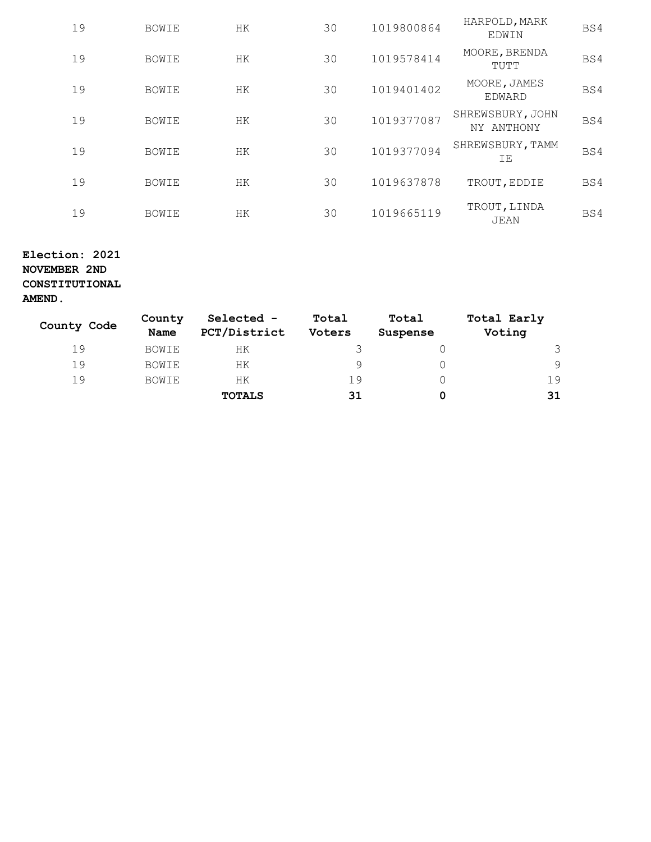| 19 | <b>BOWIE</b> | HK  | 30 | 1019800864 | HARPOLD, MARK<br>EDWIN         | BS4 |
|----|--------------|-----|----|------------|--------------------------------|-----|
| 19 | <b>BOWIE</b> | HK  | 30 | 1019578414 | MOORE, BRENDA<br>TUTT          | BS4 |
| 19 | <b>BOWIE</b> | HK  | 30 | 1019401402 | MOORE, JAMES<br>EDWARD         | BS4 |
| 19 | <b>BOWIE</b> | HK. | 30 | 1019377087 | SHREWSBURY, JOHN<br>NY ANTHONY | BS4 |
| 19 | <b>BOWIE</b> | HK  | 30 | 1019377094 | SHREWSBURY, TAMM<br>ΙE         | BS4 |
| 19 | <b>BOWIE</b> | HK. | 30 | 1019637878 | TROUT, EDDIE                   | BS4 |
| 19 | <b>BOWIE</b> | HK  | 30 | 1019665119 | TROUT, LINDA<br><b>JEAN</b>    | BS4 |

## **Election: 2021 NOVEMBER 2ND CONSTITUTIONAL**

## **AMEND.**

| County Code | County<br><b>Name</b> | Selected -<br>PCT/District | Total<br>Voters | Total<br>Suspense | Total Early<br>Voting |
|-------------|-----------------------|----------------------------|-----------------|-------------------|-----------------------|
| 19          | <b>BOWIE</b>          | НK                         |                 |                   | 3                     |
| 19          | <b>BOWIE</b>          | НK                         | a               |                   | 9                     |
| 19          | <b>BOWIE</b>          | HK                         | 19              |                   | 19                    |
|             |                       | <b>TOTALS</b>              | 31              | 0                 | 31                    |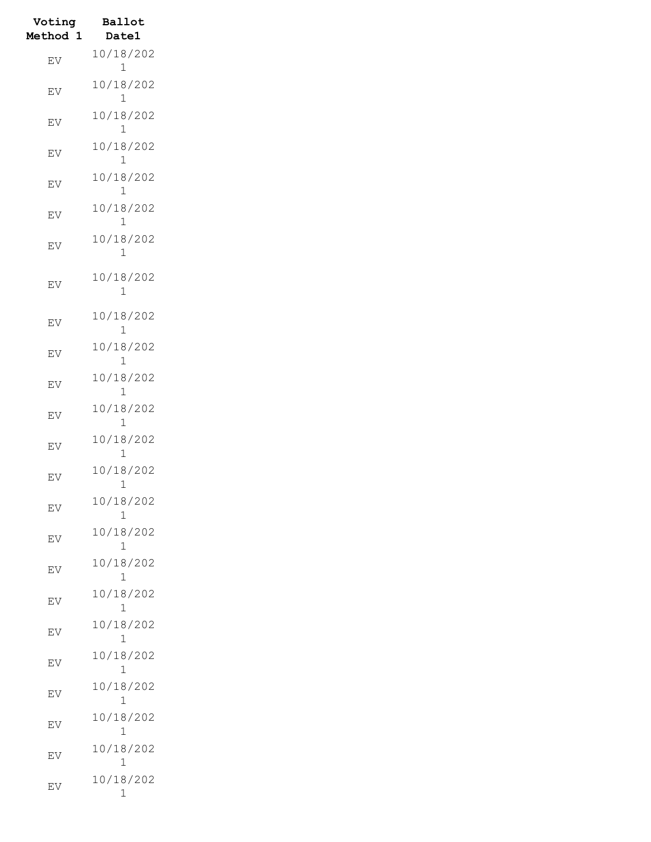| Voting<br><b>Method</b> 1 | Ballot<br><b>Date1</b>    |
|---------------------------|---------------------------|
| EV                        | 10/18/202<br>1            |
| EV                        | 10/18/202<br>1            |
| EV                        | 10/18/202<br>1            |
| EV                        | 10/18/202<br>1            |
| EV                        | 10/18/202<br>1            |
| EV                        | 10/18/202<br>1            |
| EV                        | 10/18/202<br>1            |
| EV                        | 10/18/202<br>1            |
| EV                        | 10/18/202<br>1            |
| EV                        | 10/18/202<br>1            |
| EV                        | 10/18/202<br>1            |
| EV                        | 10/18/202<br>$\mathbf 1$  |
| EV                        | 10/18/202                 |
| EV                        | 10/18/202<br>$\mathbf{1}$ |
| EV                        | 10/18/202<br>1            |
| EV                        | 10/18/202<br>1            |
| EV                        | 10/18/202<br>1            |
| EV                        | 10/18/202<br>1            |
| EV                        | 10/18/202<br>ı            |
| EV                        | 10/18/202<br>1            |
| EV                        | 10/18/202<br>T            |
| EV                        | 10/18/202<br>1            |
| EV                        | 10/18/202<br>1            |
| EV                        | 10/18/202<br>1            |